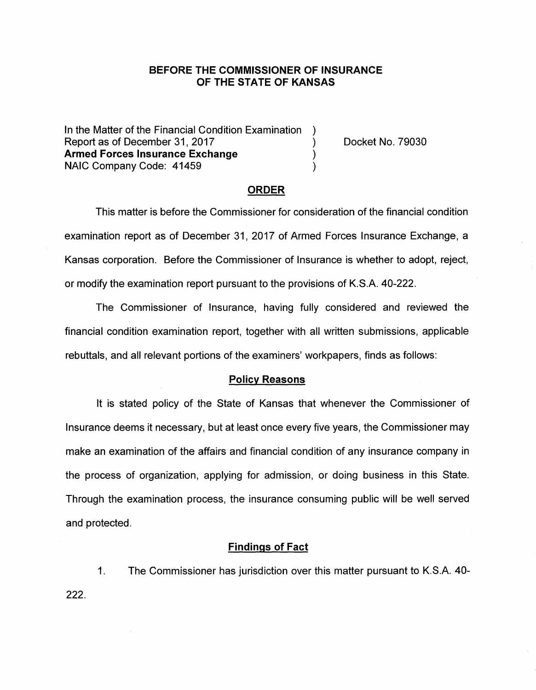## **BEFORE THE COMMISSIONER OF INSURANCE OF THE STATE OF KANSAS**

In the Matter of the Financial Condition Examination ) Report as of December 31, 2017 (and the control of the Docket No. 79030) **Armed Forces Insurance Exchange** ) NAIC Company Code: 41459 )

### **ORDER**

This matter is before the Commissioner for consideration of the financial condition examination report as of December 31, 2017 of Armed Forces Insurance Exchange, a Kansas corporation. Before the Commissioner of Insurance is whether to adopt, reject, or modify the examination report pursuant to the provisions of K.S.A. 40-222.

The Commissioner of Insurance, having fully considered and reviewed the financial condition examination report, together with all written submissions, applicable rebuttals, and all relevant portions of the examiners' workpapers, finds as follows:

### **Policy Reasons**

It is stated policy of the State of Kansas that whenever the Commissioner of Insurance deems it necessary, but at least once every five years, the Commissioner may make an examination of the affairs and financial condition of any insurance company in the process of organization, applying for admission, or doing business in this State. Through the examination process, the insurance consuming public will be well served and protected.

#### **Findings of Fact**

1. The Commissioner has jurisdiction over this matter pursuant to K.S.A. 40- 222.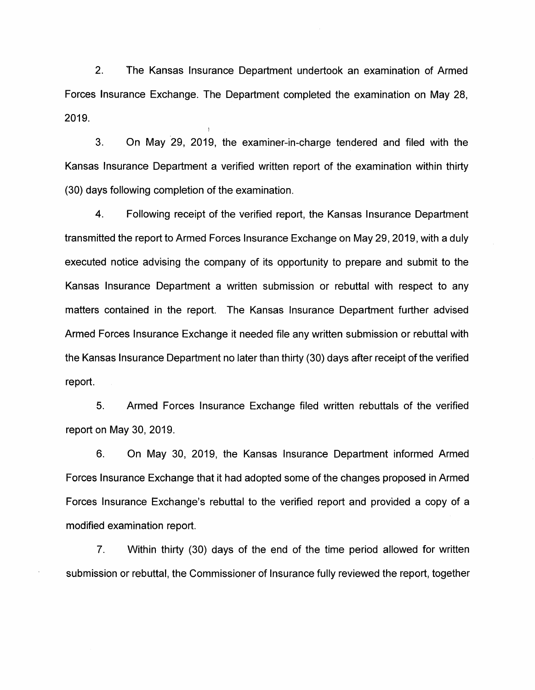2. The Kansas Insurance Department undertook an examination of Armed Forces Insurance Exchange. The Department completed the examination on May 28, 2019.

3. On May 29, 2019, the examiner-in-charge tendered and filed with the Kansas Insurance Department a verified written report of the examination within thirty (30) days following completion of the examination.

4. Following receipt of the verified report, the Kansas Insurance Department transmitted the report to Armed Forces Insurance Exchange on May 29, 2019, with a duly executed notice advising the company of its opportunity to prepare and submit to the Kansas Insurance Department a written submission or rebuttal with respect to any matters contained in the report. The Kansas Insurance Department further advised Armed Forces Insurance Exchange it needed file any written submission or rebuttal with the Kansas Insurance Department no later than thirty (30) days after receipt of the verified report.

5. Armed Forces Insurance Exchange filed written rebuttals of the verified report on May 30, 2019.

6. On May 30, 2019, the Kansas Insurance Department informed Armed Forces Insurance Exchange that it had adopted some of the changes proposed in Armed Forces Insurance Exchange's rebuttal to the verified report and provided a copy of a modified examination report.

7. Within thirty (30) days of the end of the time period allowed for written submission or rebuttal, the Commissioner of Insurance fully reviewed the report, together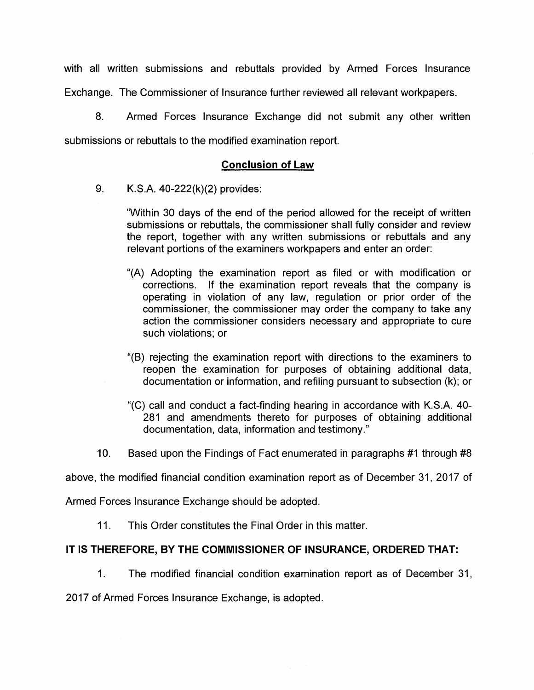with all written submissions and rebuttals provided by Armed Forces Insurance Exchange. The Commissioner of Insurance further reviewed all relevant workpapers.

8. Armed Forces Insurance Exchange did not submit any other written submissions or rebuttals to the modified examination report.

# **Conclusion of Law**

9. K.S.A. 40-222(k)(2) provides:

"Within 30 days of the end of the period allowed for the receipt of written submissions or rebuttals, the commissioner shall fully consider and review the report, together with any written submissions or rebuttals and any relevant portions of the examiners workpapers and enter an order:

- "(A) Adopting the examination report as filed or with modification or corrections. If the examination report reveals that the company is operating in violation of any law, regulation or prior order of the commissioner, the commissioner may order the company to take any action the commissioner considers necessary and appropriate to cure such violations; or
- "(B) rejecting the examination report with directions to the examiners to reopen the examination for purposes of obtaining additional data, documentation or information, and refiling pursuant to subsection (k); or
- "(C) call and conduct a fact-finding hearing in accordance with K.S.A. 40- 281 and amendments thereto for purposes of obtaining additional documentation, data, information and testimony."
- 10. Based upon the Findings of Fact enumerated in paragraphs #1 through #8

above, the modified financial condition examination report as of December 31, 2017 of

Armed Forces Insurance Exchange should be adopted.

11. This Order constitutes the Final Order in this matter.

# **IT IS THEREFORE, BY THE COMMISSIONER OF INSURANCE, ORDERED THAT:**

1. The modified financial condition examination report as of December 31,

2017 of Armed Forces Insurance Exchange, is adopted.